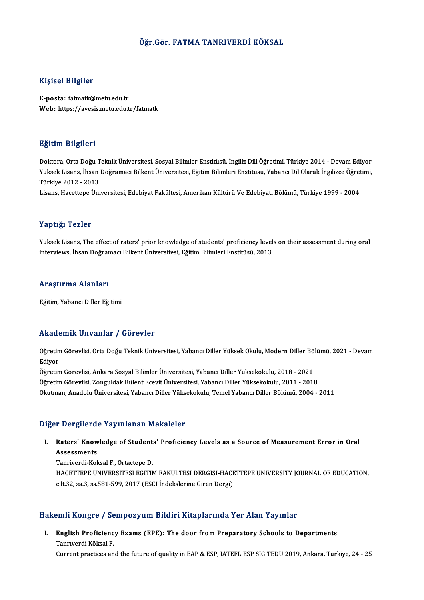### Öğr.Gör. FATMA TANRIVERDİ KÖKSAL

### Kişisel Bilgiler

E-posta: fatmatk@metu.edu.tr Web: https://avesis.metu.edu.tr/fatmatk

### Eğitim Bilgileri

<mark>Eğitim Bilgileri</mark><br>Doktora, Orta Doğu Teknik Üniversitesi, Sosyal Bilimler Enstitüsü, İngiliz Dili Öğretimi, Türkiye 2014 - Devam Ediyor<br>Yüksek Lisans, İhsan Doğraması Bilkont Üniversitesi, Eğitim Bilimleri Enstitüsü, Yaha SSRAM SAŞASA<br>Doktora, Orta Doğu Teknik Üniversitesi, Sosyal Bilimler Enstitüsü, İngiliz Dili Öğretimi, Türkiye 2014 - Devam Ediyor<br>Yüksek Lisans, İhsan Doğramacı Bilkent Üniversitesi, Eğitim Bilimleri Enstitüsü, Yabancı Di Doktora, Orta Doğu T<br>Yüksek Lisans, İhsan<br>Türkiye 2012 - 2013<br>Lisans, Hasettane Üni Yüksek Lisans, İhsan Doğramacı Bilkent Üniversitesi, Eğitim Bilimleri Enstitüsü, Yabancı Dil Olarak İngilizce Öğretimi,<br>Türkiye 2012 - 2013<br>Lisans, Hacettepe Üniversitesi, Edebiyat Fakültesi, Amerikan Kültürü Ve Edebiyatı

### Yaptığı Tezler

Yüksek Lisans, The effect of raters' prior knowledge of students' proficiency levels on their assessment during oral interviews, İhsan Doğramacı Bilkent Üniversitesi, Eğitim Bilimleri Enstitüsü, 2013

# <sub>Interviews, insan Dograr<br>Araştırma Alanları</sub>

<mark>Araştırma Alanları</mark><br>Eğitim, Yabancı Diller Eğitimi

## Eğitim, Yabancı Diller Eğitimi<br>Akademik Unvanlar / Görevler

**Akademik Unvanlar / Görevler**<br>Öğretim Görevlisi, Orta Doğu Teknik Üniversitesi, Yabancı Diller Yüksek Okulu, Modern Diller Bölümü, 2021 - Devam<br>Ediyar rrraat<br>Öğretin<br>Ediyor Öğretim Görevlisi, Orta Doğu Teknik Üniversitesi, Yabancı Diller Yüksek Okulu, Modern Diller Bö<br>Ediyor<br>Öğretim Görevlisi, Ankara Sosyal Bilimler Üniversitesi, Yabancı Diller Yüksekokulu, 2018 - 2021<br>Öğretim Görevlisi, Zong

Ediyor<br>Öğretim Görevlisi, Ankara Sosyal Bilimler Üniversitesi, Yabancı Diller Yüksekokulu, 2018 - 2021<br>Öğretim Görevlisi, Zonguldak Bülent Ecevit Üniversitesi, Yabancı Diller Yüksekokulu, 2011 - 2018 Okutman, Anadolu Üniversitesi, Yabancı Diller Yüksekokulu, Temel Yabancı Diller Bölümü, 2004 - 2011

#### Diğer Dergilerde Yayınlanan Makaleler

Iger Dergilerde Yayınlanan Makaleler<br>I. Raters' Knowledge of Students' Proficiency Levels as a Source of Measurement Error in Oral<br>Assossments n Bengheras<br>Raters' Know<br>Assessments<br>Tanrivardi Kol Tanriverdi-KoksalF.,OrtactepeD.

Assessments<br>Tanriverdi-Koksal F., Ortactepe D.<br>HACETTEPE UNIVERSITESI EGITIM FAKULTESI DERGISI-HACETTEPE UNIVERSITY JOURNAL OF EDUCATION,<br>S<sup>ilt 22</sup>, S2, S5, 5,5, 5,9,9,2017 (ESCLIndekslarine Cinen Dergi) Tanriverdi-Koksal F., Ortactepe D.<br>HACETTEPE UNIVERSITESI EGITIM FAKULTESI DERGISI-HACE<br>cilt.32, sa.3, ss.581-599, 2017 (ESCI İndekslerine Giren Dergi)

## cilt.32, sa.3, ss.581-599, 2017 (ESCI İndekslerine Giren Dergi)<br>Hakemli Kongre / Sempozyum Bildiri Kitaplarında Yer Alan Yayınlar

akemli Kongre / Sempozyum Bildiri Kitaplarında Yer Alan Yayınlar<br>I. English Proficiency Exams (EPE): The door from Preparatory Schools to Departments<br>Tannuardi Kökal E Sinn resigner<br>English Proficienc<br>Tanrıverdi Köksal F.<br>Current resetiess an <mark>English Proficiency Exams (EPE): The door from Preparatory Schools to Departments</mark><br>Tanrıverdi Köksal F.<br>Current practices and the future of quality in EAP & ESP, IATEFL ESP SIG TEDU 2019, Ankara, Türkiye, 24 - 25